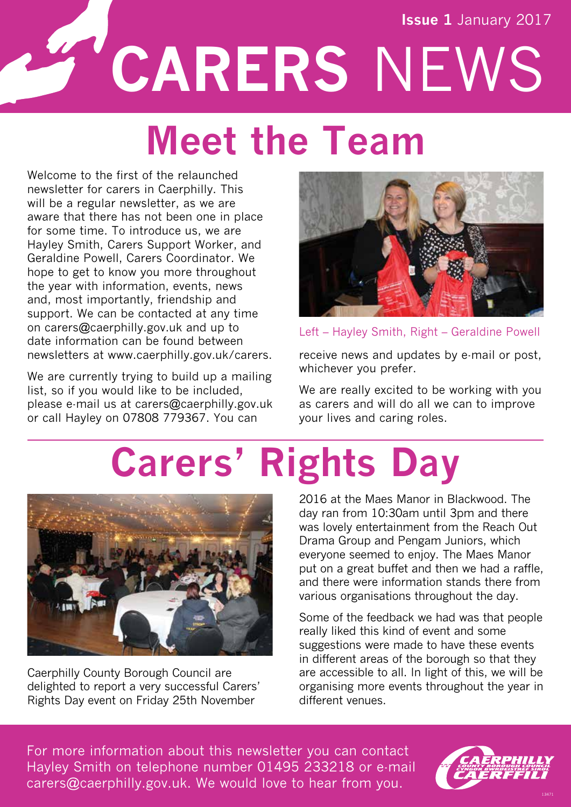**Issue 1** January 2017

**CARERS** NEWS

### **Meet the Team**

Welcome to the first of the relaunched newsletter for carers in Caerphilly. This will be a regular newsletter, as we are aware that there has not been one in place for some time. To introduce us, we are Hayley Smith, Carers Support Worker, and Geraldine Powell, Carers Coordinator. We hope to get to know you more throughout the year with information, events, news and, most importantly, friendship and support. We can be contacted at any time on carers@caerphilly.gov.uk and up to date information can be found between newsletters at www.caerphilly.gov.uk/carers.

We are currently trying to build up a mailing list, so if you would like to be included, please e-mail us at carers@caerphilly.gov.uk or call Hayley on 07808 779367. You can



Left – Hayley Smith, Right – Geraldine Powell

receive news and updates by e-mail or post, whichever you prefer.

We are really excited to be working with you as carers and will do all we can to improve your lives and caring roles.

# **Carers' Rights Day**



Caerphilly County Borough Council are delighted to report a very successful Carers' Rights Day event on Friday 25th November

2016 at the Maes Manor in Blackwood. The day ran from 10:30am until 3pm and there was lovely entertainment from the Reach Out Drama Group and Pengam Juniors, which everyone seemed to enjoy. The Maes Manor put on a great buffet and then we had a raffle, and there were information stands there from various organisations throughout the day.

Some of the feedback we had was that people really liked this kind of event and some suggestions were made to have these events in different areas of the borough so that they are accessible to all. In light of this, we will be organising more events throughout the year in different venues.

For more information about this newsletter you can contact Hayley Smith on telephone number 01495 233218 or e-mail carers@caerphilly.gov.uk. We would love to hear from you.

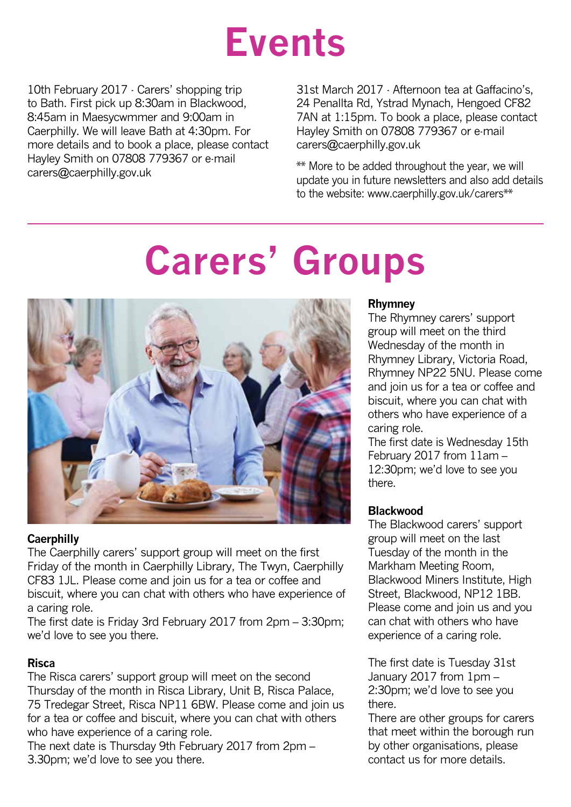### **Events**

10th February 2017 - Carers' shopping trip to Bath. First pick up 8:30am in Blackwood, 8:45am in Maesycwmmer and 9:00am in Caerphilly. We will leave Bath at 4:30pm. For more details and to book a place, please contact Hayley Smith on 07808 779367 or e-mail carers@caerphilly.gov.uk

31st March 2017 - Afternoon tea at Gaffacino's, 24 Penallta Rd, Ystrad Mynach, Hengoed CF82 7AN at 1:15pm. To book a place, please contact Hayley Smith on 07808 779367 or e-mail carers@caerphilly.gov.uk

\*\* More to be added throughout the year, we will update you in future newsletters and also add details to the website: www.caerphilly.gov.uk/carers\*\*

# **Carers' Groups**



### **Caerphilly**

The Caerphilly carers' support group will meet on the first Friday of the month in Caerphilly Library, The Twyn, Caerphilly CF83 1JL. Please come and join us for a tea or coffee and biscuit, where you can chat with others who have experience of a caring role.

The first date is Friday 3rd February 2017 from 2pm – 3:30pm; we'd love to see you there.

#### **Risca**

The Risca carers' support group will meet on the second Thursday of the month in Risca Library, Unit B, Risca Palace, 75 Tredegar Street, Risca NP11 6BW. Please come and join us for a tea or coffee and biscuit, where you can chat with others who have experience of a caring role.

The next date is Thursday 9th February 2017 from 2pm – 3.30pm; we'd love to see you there.

#### **Rhymney**

The Rhymney carers' support group will meet on the third Wednesday of the month in Rhymney Library, Victoria Road, Rhymney NP22 5NU. Please come and join us for a tea or coffee and biscuit, where you can chat with others who have experience of a caring role.

The first date is Wednesday 15th February 2017 from 11am – 12:30pm; we'd love to see you there.

#### **Blackwood**

The Blackwood carers' support group will meet on the last Tuesday of the month in the Markham Meeting Room, Blackwood Miners Institute, High Street, Blackwood, NP12 1BB. Please come and join us and you can chat with others who have experience of a caring role.

The first date is Tuesday 31st January 2017 from 1pm – 2:30pm; we'd love to see you there.

There are other groups for carers that meet within the borough run by other organisations, please contact us for more details.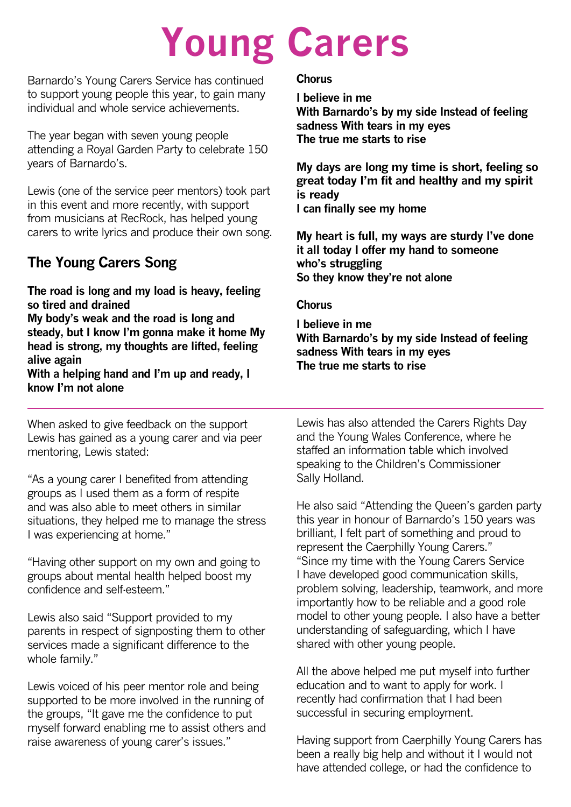# **Young Carers**

Barnardo's Young Carers Service has continued to support young people this year, to gain many individual and whole service achievements.

The year began with seven young people attending a Royal Garden Party to celebrate 150 years of Barnardo's.

Lewis (one of the service peer mentors) took part in this event and more recently, with support from musicians at RecRock, has helped young carers to write lyrics and produce their own song.

### **The Young Carers Song**

**The road is long and my load is heavy, feeling so tired and drained My body's weak and the road is long and steady, but I know I'm gonna make it home My head is strong, my thoughts are lifted, feeling alive again With a helping hand and I'm up and ready, I know I'm not alone**

When asked to give feedback on the support Lewis has gained as a young carer and via peer mentoring, Lewis stated:

"As a young carer I benefited from attending groups as I used them as a form of respite and was also able to meet others in similar situations, they helped me to manage the stress I was experiencing at home."

"Having other support on my own and going to groups about mental health helped boost my confidence and self-esteem."

Lewis also said "Support provided to my parents in respect of signposting them to other services made a significant difference to the whole family."

Lewis voiced of his peer mentor role and being supported to be more involved in the running of the groups, "It gave me the confidence to put myself forward enabling me to assist others and raise awareness of young carer's issues."

### **Chorus**

**I believe in me With Barnardo's by my side Instead of feeling sadness With tears in my eyes The true me starts to rise**

**My days are long my time is short, feeling so great today I'm fit and healthy and my spirit is ready I can finally see my home**

**My heart is full, my ways are sturdy I've done it all today I offer my hand to someone who's struggling So they know they're not alone**

### **Chorus**

**I believe in me With Barnardo's by my side Instead of feeling sadness With tears in my eyes The true me starts to rise**

Lewis has also attended the Carers Rights Day and the Young Wales Conference, where he staffed an information table which involved speaking to the Children's Commissioner Sally Holland.

He also said "Attending the Queen's garden party this year in honour of Barnardo's 150 years was brilliant, I felt part of something and proud to represent the Caerphilly Young Carers." "Since my time with the Young Carers Service I have developed good communication skills, problem solving, leadership, teamwork, and more importantly how to be reliable and a good role model to other young people. I also have a better understanding of safeguarding, which I have shared with other young people.

All the above helped me put myself into further education and to want to apply for work. I recently had confirmation that I had been successful in securing employment.

Having support from Caerphilly Young Carers has been a really big help and without it I would not have attended college, or had the confidence to